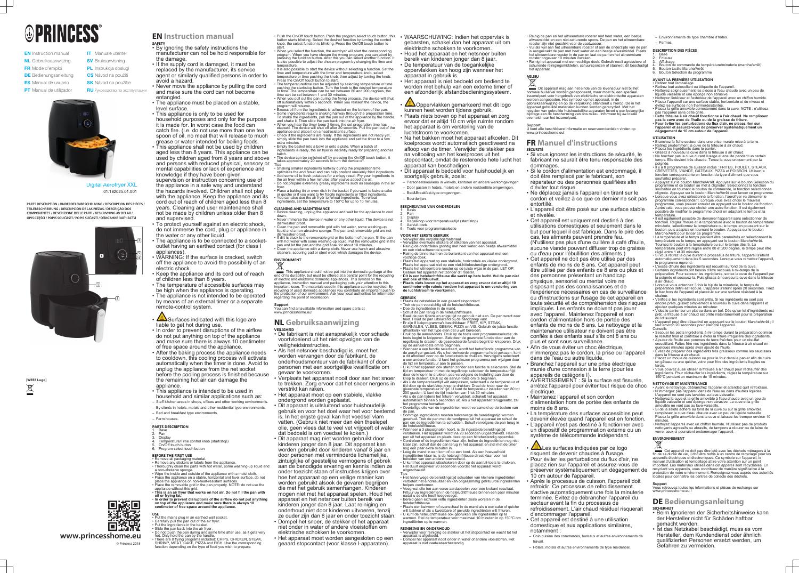# **OPRINCESS**

- **EN** Instruction manual NL Gebruiksaanwijzing FR Mode d'emploi **DE** Bedienungsanleitung **ES** Manual de usuario
	- **SK** Návod na použitie
- **PT** Manual de utilizador
	-

**CS** Návod na použití PL Instrukcja obsługi

**RU** Руководство по эксплуатации

Digital Aerofryer XXL Aerofr 01.182025.01.001

**IT** Manuale utente **SV** Bruksanvisning

**[WEEE Logo]**  $\bigtimes$ 



**PARTS DESCRIPTION / ONDERDELENBESCHRIJVING / DESCRIPTION DES PIÈCES / TEILEBESCHREIBUNG / DESCRIPCIÓN DE LAS PIEZAS / DESCRIÇÃO DOS COMPONENTES / DESCRIZIONE DELLE PARTI / BESKRIVNING AV DELAR / OPIS CZĘŚCI / POPIS SOUČÁSTÍ / POPIS SÚČASTÍ / ОПИСАНИЕ ЗАПЧАСТИ**

> **www.princesshome.eu** © Princess 2018

- 
- 

## **EN Instruction manual**

- **SAFETY** By ignoring the safety instructions the manufacturer can not be hold responsible for
- the damage. • If the supply cord is damaged, it must be replaced by the manufacturer, its service agent or similarly qualified persons in order to avoid a hazard.
- Never move the appliance by pulling the cord and make sure the cord can not become entangled.
- The appliance must be placed on a stable, level surface.
- This appliance is only to be used for household purposes and only for the purpose it is made for. In worst case the food can catch fire. (i.e. do not use more than one tea spoon of oil, no meat that will release to much grease or water intended for boiling foods.
- This appliance shall not be used by children aged less than 8 years. This appliance can be used by children aged from 8 years and above and persons with reduced physical, sensory or mental capabilities or lack of experience and knowledge if they have been given

supervision or instruction concerning use of the appliance in a safe way and understand the hazards involved. Children shall not play with the appliance. Keep the appliance and its cord out of reach of children aged less than 8 years. Cleaning and user maintenance shall not be made by children unless older than 8 and supervised.

- To protect yourself against an electric shock, do not immerse the cord, plug or appliance in the water or any other liquid.
- The appliance is to be connected to a socketoutlet having an earthed contact (for class I appliances).
- WARNING: If the surface is cracked, switch off the appliance to avoid the possibility of an electric shock.
- Keep the appliance and its cord out of reach of children less than 8 years.
- The temperature of accessible surfaces may be high when the appliance is operating.
- The appliance is not intended to be operated by means of an external timer or a separate remote-control system.
- Surfaces indicated with this logo are liable to get hot during use.
- In order to prevent disruptions of the airflow do not put anything on top of the appliance and make sure there is always 10 centimeter of free space around the appliance.
- After the baking process the appliance needs to cooldown, this cooling process will activate automatically when the timer is done. Avoid to unplug the appliance from the net socket before the cooling process is finished because the remaining hot air can damage the appliance.
- This appliance is intended to be used in
- household and similar applications such as: – Staff kitchen areas in shops, offices and other working environments.
- By clients in hotels, motels and other residential type environments.
- Bed and breakfast type environments.
- Farm houses.
- 
- **PARTS DESCRIPTION**
- 1. Base 2. Pan
- **Display** Temperature/Time control knob (start/stop)
- 5. On/Off touch button 6. Program select touch button

#### **BEFORE THE FIRST USE**

- Remove all packaging material.
- Remove any stickers or labels from the appliance. • Thoroughly clean the parts with hot water, some washing-up liquid and
- a non-abrasive sponge. Wipe the inside and outside of the appliance with a moist cloth.
- Place the appliance on a stable, horizontal and level surface, do not place the appliance on non-heat-resistant surfaces.
- Place the removable grid in the pan properly. NOTE: do not use the appliance without this grid. • **This is an air fryer that works on hot air. Do not fill the pan with**
- **oil or frying fat.** • **In order to prevent disruptions of the airflow do not put anything on top of the appliance and make sure there is always 10**
- **centimeter of free space around the appliance.**
- 
- **USE** Put the mains plug in an earthed wall socket. • Carefully pull the pan out of the air fryer.
- Put the ingredients in the basket. • Slide the pan back into the air fryer.
- 
- Do not touch the pan during and some time after use, as it gets very hot. Only hold the pan by the handle. • There are 8 frying programs included: CHIPS, CHICKEN, STEAK, SHRIMP, MEAT, CAKE, PIZZA and FISH. Use the corresponding function depending on the type of food you wish to prepare.

**All Coppervlakken gemarkeerd met dit logo** kunnen heet worden tijdens gebruik. • Plaats niets boven op het apparaat en zorg ervoor dat er altijd 10 cm vrije ruimte rondom het apparaat is om verstoring van de luchtstroom te voorkomen.

Display 4. Regelknop voor temperatuur/tijd (start/stop) 5. Aan/uit-toets

## Toets voor programmaselectie

- Push the On/Off touch button. Push the program select touch button, this button starts blinking. Select the desired function by turning the control knob, the select function is blinking. Press the On/Off touch button to
- start. • When you select the function, the aerofryer will start the corresponding program. When you have chosen the wrong program, you can abort by pressing the function button. After this you can select another function. It is also possible to adjust the chosen program by changing the time and temperature.
- It is also possible to start the device without selecting a function. Set the time and temperature with the timer and temperature knob, select temperature or time pushing the knob, then adjust by turning the knob. Press the On/Off touch button to start.
- The temperature/time can be adjusted by selecting temperature or time pushing the start/stop button. Turn the knob to the desired temperature or time. The temperature can be set between 80 and 200 degrees, the time can be set between 1 and 30 minutes. • When you pull out the pan during the frying process, the device will shut
- off automatically within 5 seconds. When you reinsert the device, the program will resume. • Excess oil from the ingredients is collected on the bottom of the pan.
- Some ingredients require shaking halfway through the preparation time. To shake the ingredients, pull the pan out of the appliance by the handle and shake it. Then slide the pan back into the air fryer. • When you hear the timer beep 3 times, the set preparation time has
- elapsed. The device will shut off after 20 seconds. Pull the pan out of the appliance and place it on a heatresistant surface. • Check if the ingredients are ready. If the ingredients are not ready yet, simply slide the pan back into the appliance and set the timer to a few extra minutes.
- Empty the basket into a bowl or onto a plate. When a batch of ingredients is ready, the air fryer is instantly ready for preparing another
- batch. • The device can be switched off by pressing the On/Off touch button, it takes approximately 20 seconds to turn the device off.
- Tips • Shaking smaller ingredients halfway during the preparation time optimizes the end result and can help prevent unevenly fried ingredients. • Add some oil to fresh potatoes for a crispy result. Fry your ingredients in the air fryer within a few minutes after you've added the oil. • Do not prepare extremely greasy ingredients such as sausages in the air
- fryer. • Place a baking tin or oven dish in the basket if you want to bake a cake or quiche or if you want to fry fragile ingredients or filled ingredients. • You can also use the air fryer to reheat ingredients. To reheat ingredients, set the temperature to 150°C for up to 10 minutes.

#### **CLEANING AND MAINTENANCE**

- Before cleaning, unplug the appliance and wait for the appliance to cool down. • Never immerse the device in water or any other liquid. The device is not
- dishwasher proof. • Clean the pan and removable grid with hot water, some washing-up liquid and a non-abrasive sponge. The pan and removable grid are not
- dishwasher-proo • If dirt is stuck to the removable grid or the bottom of the pan, fill the pan with hot water with some washing-up liquid. Put the removable grid in the
- pan and let the pan and the grid soak for about 10 minutes. • Clean the appliance with a damp cloth. Never use harsh and abrasive cleaners, scouring pad or steel wool, which damages the device.

## **ENVIRONMENT**

This appliance should not be put into the domestic garbage at the end of its durability, but must be offered at a central point for the recycling of electric and electronic domestic appliances. This symbol on the appliance, instruction manual and packaging puts your attention to this important issue. The materials used in this appliance can be recycled. By recycling of used domestic appliances you contribute an important push to the protection of our environment. Ask your local authorities for information regarding the point of recollection.

#### **Support**

#### **Support** U kunt alle beschikbare informatie en reserveonderdelen vinden op www.princesshome.eu!

You can find all available information and spare parts at www.princesshome.eu!

## **NL Gebruiksaanwijzing**

- **VEILIGHEID** • De fabrikant is niet aansprakelijk voor schade voortvloeiend uit het niet opvolgen van de veiligheidsinstructies.
- Als het netsnoer beschadigd is, moet het worden vervangen door de fabrikant, de onderhoudsmonteur van de fabrikant of door personen met een soortgelijke kwalificatie om gevaar te voorkomen.
- Verplaats het apparaat nooit door aan het snoer te trekken. Zorg ervoor dat het snoer nergens in verstrikt kan raken.
- Het apparaat moet op een stabiele, vlakke ondergrond worden geplaatst.
- Dit apparaat is uitsluitend voor huishoudelijk gebruik en voor het doel waar het voor bestemd is. In het ergste geval kan het voedsel vlam vatten. (Gebruik niet meer dan één theelepel olie, geen vlees dat te veel vet vrijgeeft of water dat bedoeld is om voedsel te koken.)
- Dit apparaat mag niet worden gebruikt door kinderen jonger dan 8 jaar. Dit apparaat kan worden gebruikt door kinderen vanaf 8 jaar en door personen met verminderde lichamelijke, zintuiglijke of geestelijke vermogens of gebrek aan de benodigde ervaring en kennis indien ze onder toezicht staan of instructies krijgen over hoe het apparaat op een veilige manier kan worden gebruikt alsook de gevaren begrijpen die met het gebruik samenhangen. Kinderen mogen niet met het apparaat spelen. Houd het apparaat en het netsnoer buiten bereik van kinderen jonger dan 8 jaar. Laat reiniging en onderhoud niet door kinderen uitvoeren, tenzij ze ouder zijn dan 8 jaar en onder toezicht staan.
- Dompel het snoer, de stekker of het apparaat niet onder in water of andere vloeistoffen om elektrische schokken te voorkomen.
- Het apparaat moet worden aangesloten op een geaard stopcontact (voor klasse I-apparaten).
	-



- 1. Base **Friteuse**
- Affichage 4. Bouton de commande de température/minuterie (marche/arrêt)
- 5. Bouton tactile Marche/Arrêt Bouton Sélection du programme

• WAARSCHUWING: Indien het oppervlak is gebarsten, schakel dan het apparaat uit om elektrische schokken te voorkomen. • Houd het apparaat en het netsnoer buiten bereik van kinderen jonger dan 8 jaar.

- De temperatuur van de toegankelijke oppervlakken kan hoog zijn wanneer het apparaat in gebruik is.
- Het apparaat is niet bedoeld om bediend te worden met behulp van een externe timer of een afzonderlijk afstandbedieningssysteem.

• Na het bakken moet het apparaat afkoelen. Dit koelproces wordt automatisch geactiveerd na afloop van de timer. Verwijder de stekker pas na voltooiing van het koelproces uit het stopcontact, omdat de resterende hete lucht het

apparaat kan beschadigen. • Dit apparaat is bedoeld voor huishoudelijk en soortgelijk gebruik, zoals:

– Personeelskeukens in winkels, kantoren en andere werkomgevingen. – Door gasten in hotels, motels en andere residentiële omgevingen.

– Bed&Breakfast-type omgevingen. – Boerderijen.

#### **BESCHRIJVING VAN ONDERDELEN**

1. Basis 2. Pan

**VOOR HET EERSTE GEBRUIK** • Verwijder alle verpakkingsmateriaal.

- Verwijder eventuele stickers of etiketten van het apparaat. • Reinig de onderdelen grondig met heet water, een beetje afwasmiddel en een niet-schurende spons.
- Reinig de binnenkant en de buitenkant van het apparaat met een vochtige doek.
- Plaats het apparaat op een stabiele, horizontale en vlakke ondergrond. Plaats het apparaat niet op een niet-hittebestendige ondergrond. • Plaats het uitneembare rooster op de juiste wijze in de pan. LET OP: Gebruik het apparaat niet zonder dit rooster.
- **Dit is een heteluchtfriteuse die werkt op hete lucht. Vul de pan niet met olie of frituurvet.** • **Plaats niets boven op het apparaat en zorg ervoor dat er altijd 10**
- **centimeter vrije ruimte rondom het apparaat is om verstoring van de luchtstroom te voorkomen.**

#### **GEBRUIK**

• Plaats de netstekker in een geaard stopcontact. • Trek de pan voorzichtig uit de heteluchtfriteuse.

#### **ENVIRONNEMENT**  $\boxtimes$

www.princesshome.eu

- Doe de ingrediënten in de mand. • Schuif de pan terug in de heteluchtfriteuse.
- Raak de pan tijdens en enige tijd na gebruik niet aan. De pan wordt zeer heet. Houd de pan uitsluitend bij de handgreep vast.
- Er zijn 8 bakprogramma's beschikbaar: FRIET, KIP, STEAK, GARNALEN, VLEES, GEBAK, PIZZA en VIS. Gebruik de juiste functie, afhankelijk van het type eten dat u wilt bereiden. • Druk op de aan/uit-toets. Druk op de toets voor programmaselectie; de
- toets begint te knipperen. Selecteer de gewenste functie door aan de regelknop te draaien; de geselecteerde functie begint te knipperen. Druk op de aan/uit-toets om te beginnen. • Wanneer u een functie selecteert, wordt het betreffende programma van
- de aerofryer gestart. Als u het verkeerde programma hebt gekozen, kunt u dit afbreken door op de functietoets te drukken. Vervolgens selecteert u een andere functie. U kunt het gekozen programma ook wijzigen door de tijd en temperatuur aan te passen.
- U kunt het apparaat ook starten zonder een functie te selecteren. Stel de tijd en temperatuur in met de regelknop: selecteer de temperatuur/tijd door de knop in te drukken, pas vervolgens de instelling aan door de knop te draaien. Druk op de aan/uit-toets om te beginnen.
- Als u de temperatuur/tijd wilt aanpassen, selecteert u de temperatuur of tijd door op de start/stop-knop te drukken. Draai de knop naar de gewenste temperatuur of tijd. U kunt de temperatuur instellen van 80 tot 200 graden. U kunt de tijd instellen van 1 tot 30 minuten. • Als u de pan tijdens het frituren verwijdert, schakelt het apparaat
- automatisch binnen 5 seconden uit. Als u het apparaat terugplaatst, zal het programma hervatten. • Overtollige olie van de ingrediënten wordt verzameld op de bodem van

de pan. • Sommige ingrediënten moeten halverwege de bereidingstijd worden geschud. Trek de pan met de handgreep uit het apparaat en schud de pan om de ingrediënten te schudden. Schuif vervolgens de pan terug in

- de heteluchtfriteuse. • Wanneer u 3 piepsignalen hoort, is de ingestelde bereidingstijd verstreken. Het apparaat wordt na 20 seconden uitgeschakeld. Haal de pan uit het apparaat en plaats deze op een hittebestendig oppervlak. • Controleer of de ingrediënten klaar zijn. Indien de ingrediënten nog niet klaar zijn, schuif dan de pan terug in het apparaat en stel met de timer nog een paar extra minuten in.
- Leeg de mand in een kom of op een bord. Als een hoeveelheid ingrediënten klaar is, is de heteluchtfriteuse direct klaar voor het bereiden van een andere hoeveelheid.
- U kunt het apparaat uitschakelen door op de aan/uit-toets te drukken. Het duurt ongeveer 20 seconden voordat het apparaat wordt uitgeschakeld.

#### Tips • Het halverwege de bereidingstijd schudden van kleinere ingrediënten verbetert het eindresultaat en kan ongelijkmatig gefrituurde ingrediënten helpen voorkomen.

- Voeg wat olie toe aan verse aardappelen voor een krokant resultaat. Frituur uw ingrediënten in de heteluchtfriteuse binnen een paar minuten nadat u de olie heeft toegevoegd. • Bereid geen extreem vette ingrediënten zoals worsten in de
- heteluchtfriteuse. • Plaats een bakvorm of ovenschaal in de mand als u een cake of quiche wilt bakken of als u kwetsbare of gevulde ingrediënten wilt frituren. • U kunt de heteluchtfriteuse ook gebruiken om ingrediënten op te warmen. Stel de temperatuur voor maximaal 10 minuten in op 150°C om ingrediënten op te warmen.
- **REINIGING EN ONDERHOUD**
- Verwijder voor reiniging de stekker uit het stopcontact en wacht tot het apparaat is afgekoeld. • Dompel het apparaat nooit onder in water of andere vloeistoffen. Het apparaat is niet vaatwasserbestendig.
- Reinig de pan en het uitneembare rooster met heet water, een beetje afwasmiddel en een niet-schurende spons. De pan en het uitneembare
- rooster zijn niet geschikt voor de vaatwasser. • Vul als vuil aan het uitneembare rooster of aan de onderzijde van de pan is aangekoekt de pan met heet water en een beetje afwasmiddel. Plaats het uitneembare rooster in de pan en laat de pan en het uitneembare rooster ongeveer 10 minuten inweken. • Reinig het apparaat met een vochtige doek. Gebruik nooit agressieve of schurende reinigingsmiddelen, schuursponzen of staalwol; dit beschadigt het apparaat.

# **MILIEU**

Dit apparaat mag aan het einde van de levensduur niet bij het normale huisafval worden gedeponeerd, maar moet bij een speciaal inzamelpunt voor hergebruik van elektrische en elektronische apparaten worden aangeboden. Het symbool op het apparaat, in de gebruiksaanwijzing en op de verpakking attendeert u hierop. De in het apparaat gebruikte materialen kunnen worden gerecycled. Met het recyclen van gebruikte huishoudelijke apparaten levert u een belangrijke bijdrage aan de bescherming van ons milieu. Informeer bij uw lokale overheid naar het inzamelpunt.

#### **FR Manuel d'instructions SÉCURITÉ**

- Si vous ignorez les instructions de sécurité, le fabricant ne saurait être tenu responsable des dommages.
- Si le cordon d'alimentation est endommagé, il doit être remplacé par le fabricant, son réparateur ou des personnes qualifiées afin d'éviter tout risque.
- Ne déplacez jamais l'appareil en tirant sur le cordon et veillez à ce que ce dernier ne soit pas entortillé.
- L'appareil doit être posé sur une surface stable et nivelée.
- Cet appareil est uniquement destiné à des utilisations domestiques et seulement dans le but pour lequel il est fabriqué. Dans le pire des cas, les aliments peuvent prendre feu. (N'utilisez pas plus d'une cuillère à café d'huile, aucune viande pouvant diffuser trop de graisse ou d'eau pour l'ébullition des aliments.)
- Cet appareil ne doit pas être utilisé par des enfants de moins de 8 ans. Cet appareil peut être utilisé par des enfants de 8 ans ou plus et des personnes présentant un handicap physique, sensoriel ou mental voire ne disposant pas des connaissances et de l'expérience nécessaires en cas de surveillance ou d'instructions sur l'usage de cet appareil en toute sécurité et de compréhension des risques impliqués. Les enfants ne doivent pas jouer avec l'appareil. Maintenez l'appareil et son cordon d'alimentation hors de portée des enfants de moins de 8 ans. Le nettoyage et la maintenance utilisateur ne doivent pas être confiés à des enfants sauf s'ils ont 8 ans ou plus et sont sous surveillance.
- Afin de vous éviter un choc électrique, n'immergez pas le cordon, la prise ou l'appareil dans de l'eau ou autre liquide.
- Branchez l'appareil sur une prise électrique munie d'une connexion à la terre (pour les appareils de catégorie I).
- AVERTISSEMENT : Si la surface est fissurée, arrêtez l'appareil pour éviter tout risque de choc électrique.
- Maintenez l'appareil et son cordon d'alimentation hors de portée des enfants de moins de 8 ans.
- La température des surfaces accessibles peut devenir élevée quand l'appareil est en fonction.
- L'appareil n'est pas destiné à fonctionner avec un dispositif de programmation externe ou un système de télécommande indépendant.
- Les surfaces indiquées par ce logo
- risquent de devenir chaudes à l'usage. • Pour éviter les perturbations du flux d'air, ne placez rien sur l'appareil et assurez-vous de préserver systématiquement un dégagement de 10 cm autour de l'appareil.
- Après le processus de cuisson, l'appareil doit refroidir. Ce processus de refroidissement s'active automatiquement une fois la minuterie terminée. Évitez de débrancher l'appareil du secteur avant la fin du processus de refroidissement. L'air chaud résiduel risquerait d'endommager l'appareil.
- Cet appareil est destiné à une utilisation domestique et aux applications similaires, notamment :
- Coin cuisine des commerces, bureaux et autres environnements de travail.
- Hôtels, motels et autres environnements de type résidentiel.

#### – Environnements de type chambre d'hôtes.

– Fermes.

#### **DESCRIPTION DES PIÈCES**

#### **AVANT LA PREMIÈRE UTILISATION**

- Retirez tout l'emballage.
- Retirez tout autocollant ou étiquette de l'appareil. • Nettoyez soigneusement les pièces à l'eau chaude avec un peu de
- liquide vaisselle et une éponge non abrasive. • Nettoyez l'intérieur et l'extérieur de l'appareil avec un chiffon humide.
- Placez l'appareil sur une surface stable, horizontale et de niveau et évitez les surfaces non thermorésistantes. • Placez la grille amovible correctement dans la cuve. NOTE : n'utilisez
- pas l'appareil sans cette grille. • **Cette friteuse à air chaud fonctionne à l'air chaud. Ne remplissez**
- **pas la cuve avec de l'huile ou de la graisse de friture.** • **Pour éviter les perturbations du flux d'air, ne placez rien sur l'appareil et assurez-vous de préserver systématiquement un**
- **dégagement de 10 cm autour de l'appareil.**

#### **UTILISATION**

- Branchez la fiche secteur dans une prise murale mise à la terre. • Retirez prudemment la cuve de la friteuse à air chaud.
- Placez les ingrédients dans le panier. • Glissez à nouveau la cuve dans la friteuse à air chaud.
- Ne touchez pas la cuve durant l'usage et ensuite pendant un certain temps. Elle devient très chaude. Tenez la cuve uniquement par la
- poignée. Il y a 8 programmes de cuisson inclus : FRITES, POULET, STEACK, CREVETTES, VIANDE, GÂTEAUX, PIZZA et POISSON. Utilisez la fonction correspondante en fonction du type d'aliment que vous
- souhaitez préparer. • Appuyez sur le bouton Marche/Arrêt. Appuyez sur le bouton Sélection du programme et ce bouton se met à clignoter. Sélectionnez la fonction souhaitée en tournant le bouton de commande, la fonction sélectionnée clignote. Appuyez sur le bouton Marche/Arrêt pour lancer ce programme. Lorsque vous avez sélectionné la fonction, l'aerofryer va démarrer le programme correspondant. Lorsque vous avez choisi le mauvais programme, vous pouvez annuler en appuyant sur le bouton de fonction. Après cela, vous pouvez choisir une autre fonction. Il est également
- possible de modifier le programme choisi en adaptant le temps et la température. • Il est également possible de démarrer l'appareil sans sélectionner de
- fonction. Réglez l'heure et la température avec le bouton de température/ minuterie, sélectionnez la température ou le temps en poussant sur le bouton, puis adaptez en tournant le bouton. Appuyez sur le bouton Marche/Arrêt pour lancer ce programme.
- La température et le temps peuvent être paramétrés en sélectionnant la température ou le temps, en appuyant sur le bouton Marche/Arrêt. Tournez le bouton à la température ou sur le temps désiré. La température peut être réglée entre 80 et 200 degrés, le temps peut être réglé entre 1 et 30 minutes
- Si vous retirez la cuve durant le processus de friture, l'appareil s'éteint automatiquement dans les 5 secondes. Lorsque vous remettez l'appareil, le programme reprend.
- L'excès d'huile des ingrédients est recueilli au fond de la cuve. • Certains ingrédients ont besoin d'être secoués à mi-temps de la préparation. Pour secouer les ingrédients, sortez la cuve de l'appareil par la poignée et secouez-la. Puis glissez à nouveau la cuve dans la friteuse
- à air chaud. • Lorsque vous entendez 3 fois le bip de la minuterie, le temps de préparation défini est écoulé. L'appareil s'éteint après 20 secondes. Tirez le bac hors de l'appareil et placez-le sur une surface résistant à la chaleur.
- Vérifiez si les ingrédients sont prêts. Si les ingrédients ne sont pas encore prêts, glissez simplement à nouveau la cuve dans l'appareil et ajoutez quelques minutes au minuteur.
- Videz le panier sur un plat ou dans un bol. Dès qu'un lot d'ingrédients est prêt, la friteuse à air chaud est prête instantanément pour la préparation du lot suivant.
- L'appareil peut être désactivé en appuyant sur le bouton Marche/Arrêt ; il faut environ 20 secondes pour éteindre l'appareil. Conseils
- Secouer les petits ingrédients à mi-temps durant la préparation optimise le résultat final et contribue à éviter la friture irrégulière des ingrédients. • Ajoutez de l'huile aux pommes de terre fraîches pour un résultat
- croustillant. Faites frire vos ingrédients dans la friteuse à air chaud en quelques minutes après avoir ajouté de l'huile.
- Évitez de préparer des ingrédients très graisseux comme les saucisses dans la friteuse à air chaud. • Placez un moule de cuisson ou pour le four dans le panier afin de cuire un gâteau ou une quiche, voire pour frire des ingrédients fragiles ou
- farcis. • Vous pouvez aussi utiliser la friteuse à air chaud pour réchauffer des ingrédients. Pour réchauffer les ingrédients, réglez la température sur 150°C pendant un maximum de 10 minutes.

#### **NETTOYAGE ET MAINTENANCE**

- Avant le nettoyage, débranchez l'appareil et attendez qu'il refroidisse. • N'immergez pas l'appareil dans de l'eau ou dans d'autres liquides.
- L'appareil ne sont pas lavables au lave-vaisselle. • Nettoyez la cuve et la grille amovible à l'eau chaude avec un peu de liquide vaisselle et une éponge non abrasive. La cuve et la grille
- amovible ne vont pas au lave-vaisselle. Si de la saleté adhère au fond de la cuve ou sur la grille amovible, ez la cuve d'ea Placez la grille amovible dans la cuve et laissez-les tremper environ 10
- minutes. • Nettoyez l'appareil avec un chiffon humide. N'utilisez pas de produits nettoyants agressifs ou abrasifs, de tampons à récurer ou de laine de verre, ceux-ci pourraient endommager l'appareil.

Cet appareil ne doit pas être jeté avec les déchets ménagers à la fin de sa durée de vie, il doit être remis à un centre de recyclage pour les appareils électriques et électroniques. Ce symbole sur l'appareil, le manuel d'utilisation et l'emballage attire votre attention sur un point important. Les matériaux utilisés dans cet appareil sont recyclables. En recyclant vos appareils, vous contribuez de manière significative à la protection de notre environnement. Renseignez-vous auprès des autorités

locales pour connaître les centres de collecte des déchets.

**Support** Vous retrouvez toutes les informations et pièces de rechange sur

**DE Bedienungsanleitung**

**SICHERHEIT**

• Beim Ignorieren der Sicherheitshinweise kann der Hersteller nicht für Schäden haftbar

gemacht werden.

• Ist das Netzkabel beschädigt, muss es vom Hersteller, dem Kundendienst oder ähnlich qualifizierten Personen ersetzt werden, um

Gefahren zu vermeiden.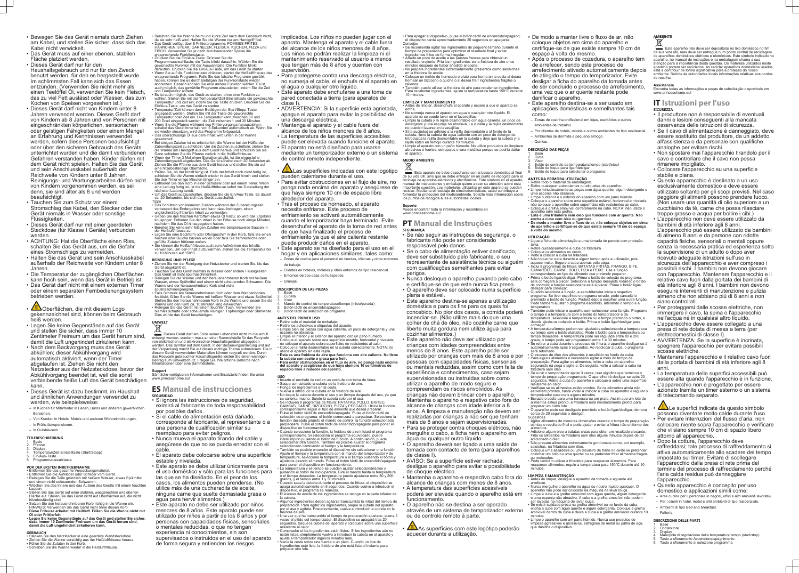- Bewegen Sie das Gerät niemals durch Ziehen am Kabel, und stellen Sie sicher, dass sich das Kabel nicht verwickelt.
- Das Gerät muss auf einer ebenen, stabilen Fläche platziert werden.
- Dieses Gerät darf nur für den Haushaltsgebrauch und nur für den Zweck benutzt werden, für den es hergestellt wurde. Im schlimmsten Fall kann sich das Essen entzünden. (Verwenden Sie nicht mehr als einen Teelöffel Öl, verwenden Sie kein Fleisch, das zu viel Fett auslässt oder Wasser, das zum Kochen von Speisen vorgesehen ist.)
- Dieses Gerät darf nicht von Kindern unter 8 Jahren verwendet werden. Dieses Gerät darf von Kindern ab 8 Jahren und von Personen mit eingeschränkten körperlichen, sensorischen oder geistigen Fähigkeiten oder einem Mangel an Erfahrung und Kenntnissen verwendet werden, sofern diese Personen beaufsichtigt oder über den sicheren Gebrauch des Geräts unterrichtet wurden und die damit verbundenen Gefahren verstanden haben. Kinder dürfen mit dem Gerät nicht spielen. Halten Sie das Gerät und sein Anschlusskabel außerhalb der Reichweite von Kindern unter 8 Jahren. Reinigungs- und Wartungsarbeiten dürfen nicht von Kindern vorgenommen werden, es sei denn, sie sind älter als 8 und werden beaufsichtigt.
- Tauchen Sie zum Schutz vor einem Stromschlag das Kabel, den Stecker oder das Gerät niemals in Wasser oder sonstige Flüssigkeiten.
- Dieses Gerät darf nur mit einer geerdeten Steckdose (für Klasse I Geräte) verbunden werden.
- ACHTUNG: Hat die Oberfläche einen Riss, schalten Sie das Gerät aus, um die Gefahr eines Stromschlags zu vermeiden.
- Halten Sie das Gerät und sein Anschlusskabel außerhalb der Reichweite von Kindern unter 8 Jahren.
- Die Temperatur der zugänglichen Oberflächen kann hoch sein, wenn das Gerät in Betrieb ist.
- Das Gerät darf nicht mit einem externen Timer oder einem separaten Fernbedienungssystem betrieben werden.
- **ALL**Oberflächen, die mit diesem Logo gekennzeichnet sind, können beim Gebrauch heiß werden.
- Legen Sie keine Gegenstände auf das Gerät und stellen Sie sicher, dass immer 10 Zentimeter Freiraum um das Gerät herum sind, damit die Luft ungehindert zirkulieren kann.
- Nach dem Backvorgang muss das Gerät abkühlen; dieser Abkühlvorgang wird automatisch aktiviert, wenn der Timer abgelaufen ist. Ziehen Sie nicht den Netzstecker aus der Netzsteckdose, bevor der Abkühlvorgang beendet ist, weil die sonst verbleibende heiße Luft das Gerät beschädigen kann.
- Dieses Gerät ist dazu bestimmt, im Haushalt und ähnlichen Anwendungen verwendet zu werden, wie beispielsweise:
- In Küchen für Mitarbeiter in Läden, Büros und anderen gewerblichen Bereichen.
- Von Kunden in Hotels, Motels und anderen Wohneinrichtungen.
- In Frühstückspensionen. – In Gutshäusern.
- **TEILEBESCHREIBUNG**

- 2. Pfanne Display
- 4. Temperatur/Zeit-Einstelltaste (Start/Stopp) 5. Ein/Aus-Taste
- **Programmauswahltaste**

#### 1. Basis

#### **VOR DER ERSTEN INBETRIEBNAHME**

- Entfernen Sie das gesamte Verpackungsmaterial. • Entfernen Sie die Aufkleber oder Schilder vom Gerät.
- Reinigen Sie die Teile gründlich mit heißem Wasser, etwas Spülmittel und einem nicht scheuernden Schwamm.
- Wischen Sie das Innere und das Äußere des Geräts mit einem feuchten Lappen. • Stellen Sie das Gerät auf einer stabilen, waagerechten und ebenen
- Fläche auf. Stellen Sie das Gerät nicht auf Oberflächen auf, die nicht hitzebeständig sind. • Setzen Sie den herausnehmbaren Korb richtig in die Wanne ein.
- HINWEIS: Verwenden Sie das Gerät nicht ohne diesen Korb.
- **Diese Friteuse arbeitet mit Heißluft. Füllen Sie die Wanne nicht mit Öl oder Frittierfett.** • **Legen Sie keine Gegenstände auf das Gerät und stellen Sie sicher, dass immer 10 Zentimeter Freiraum um das Gerät herum sind, damit die Luft ungehindert zirkulieren kann.**
- **GEBRAUCH**
- Stecken Sie den Netzstecker in eine geerdete Wandsteckdose. • Ziehen Sie die Wanne vorsichtig aus der Heißluftfriteuse heraus.
- Füllen Sie die Zutaten in den Korb.
- Schieben Sie die Wanne wieder in die Heißluftfriteuse.

Dieses Gerät darf am Ende seiner Lebenszeit nicht im Hausmüll entsorgt werden, sondern muss an einer Sammelstelle für das Recyceln von elektrischen und elektronischen Haushaltsgeräten abgegeben werden. Das Symbol auf dem Gerät, in der Bedienungsanleitung und auf der Verpackung macht Sie auf dieses wichtige Thema aufmerksam. Die in diesem Gerät verwendeten Materialien können recycelt werden. Durch das Recyceln gebrauchter Haushaltsgeräte leisten Sie einen wichtigen Beitrag zum Umweltschutz. Fragen Sie Ihre örtliche Behörde nach nformationen über eine Sammelstelle

#### $\cdot$   $\sqrt{\mathbb{L}\mathbb{L}}$  Las superficies indicadas con este logotipo pueden calentarse durante el uso.

- Berühren Sie die Wanne beim und kurze Zeit nach dem Gebrauch nicht, da sie sehr heiß wird. Halten Sie die Wanne nur am Handgriff fest.
- Das Gerät verfügt über 8 Frittierprogramme: POMMES FRITES, HÄHNCHEN, STEAK, GARNELEN, FLEISCH, KUCHEN, PIZZA und FISCH. Verwenden Sie je nach zuzubereitender Speise die entsprechende Funktionstaste.
- Drücken Sie die Ein/Aus-Taste. Drücken Sie die Programmauswahltaste; die Taste blinkt daraufhin. Wählen Sie die gewünschte Funktion mit der Auswahltaste. Die Funktion blinkt daraufhin. Drücken Sie die Ein/Aus-Taste, um das Gerät zu starten. • Wenn Sie auf die Funktionstaste drücken, startet die Heißluftfriteuse das entsprechende Programm. Falls Sie das falsche Programm gewählt haben, können Sie es durch Betätigen der Funktionstaste wieder abbrechen. Danach können Sie eine andere Funktion wählen. Es ist auch möglich, das gewählte Programm einzustellen, indem Sie die Zeit und Temperatur ändern.
- Es ist auch möglich, das Gerät zu starten, ohne eine Funktion zu wählen. Stellen Sie mit der Temperatur/Zeit-Einstelltaste die gewünschte Temperatur und Zeit ein, indem Sie die Taste drücken. Drücken Sie die Ein/Aus-Taste, um das Gerät zu starten.
- Temperatur/Zeit können durch Betätigen der Start/Stopp-Taste angepasst werden. Stellen Sie mit der Taste die gewünschte Temperatur oder Zeit ein. Die Temperatur kann zwischen 80 und 200 Grad eingestellt werden, die Zeit zwischen 1 und 30 Minuten. • Wenn Sie die Pfanne während des Frittiervorgangs herausziehen, schaltet das Gerät innerhalb von 5 Sekunden automatisch ab. Wenn Sie
- sie wieder einsetzen, wird das Programm fortgesetzt. • Das überschüssige Öl aus dem Inhalt wird unten in der Wanne gesammelt. • Bei einigen Zutaten ist es erforderlich, die Wanne bei der Hälfte der
- Zubereitungszeit zu schütteln. Um die Zutaten zu schütteln, ziehen Sie die Wanne am Handgriff aus dem Gerät heraus und schütteln Sie sie. Dann schieben Sie die Pfanne zurück in die Heißluftfriteuse.
- Wenn der Timer 3 Mal einen Signalton abgibt, ist die eingestellte Zubereitungszeit abgelaufen. Das Gerät schaltet nach 20 Sekunden ab. Ziehen Sie die Pfanne aus dem Gerät heraus und stellen Sie sie auf eine hitzebeständige Oberfläche. • Prüfen Sie, ob der Inhalt fertig ist. Falls der Inhalt noch nicht fertig ist,
- schieben Sie die Wanne einfach wieder in das Gerät hinein und stellen Sie den Timer einige Minuten länger ein. • Entleeren Sie den Korb in einer Schüssel oder auf einem Teller. Wenn
- eine Ladung fertig ist, ist die Heißluftfriteuse sofort zur Zubereitung der nächsten Ladung bereit. • Um das Gerät auszuschalten, drücken Sie die Ein/Aus-Taste. Es dauert
- ca. 20 Sekunden, bis sich das Gerät ausschaltet.
- Tipps Das Schütteln von kleineren Zutaten während der Zubereitungszeit verbessert das Endergebnis und kann dazu beitragen, einen ungleichmäßig frittierten Inhalt zu vermeiden.
- Geben Sie den frischen Kartoffeln etwas Öl hinzu; so wird das Ergebnis knuspriger. Frittieren Sie den Inhalt in der Friteuse noch einige Minuten, nachdem Sie das Öl hinzugegeben haben.
- Bereiten Sie keine sehr fettigen Zutaten wie beispielsweise Saucen in der Heißluftfriteuse zu. • Legen Sie eine Backform oder Ofengeschirr in den Korb, falls Sie einen
- Kuchen oder Quiche backen wollen oder falls Sie zerbrechliche oder gefüllte Zutaten frittieren wollen.
- Sie können die Heißluftfriteuse auch zum Aufwärmen des Inhalts verwenden. Um den Inhalt aufzuwärmen, stellen Sie die Temperatur bis zu 10 Minuten auf 150°C.

- 2. Cubeta
- **Visor** Mando de control de temperatura/tiempo (inicio/parada)
- 5. Botón táctil de encendido/apagado Botón táctil de selección de programa

- Inserte el enchufe de red en un enchufe con toma de tierra.
- Saque con cuidado la cubeta de la freidora de aire. • Ponga los ingredientes en la cesta.
- Vuelva a introducir la cubeta en la freidora de aire.
- No toque la cubeta durante el uso y un tiempo después del uso, ya que se calienta mucho. Sujete la cubeta solo por el asa. Se incluyen 8 programas de fritura: PATATAS, POLLO, BISTEC.
- GAMBAS, CARNE, BIZCOCHO, PIZZA y PESCADO. Utilice la función
- correspondiente según el tipo de alimento que desea preparar. Pulse el botón táctil de encendido/apagado selección de programa; el botón comenzará a parpadear. Seleccione la función deseada girando el mando de control; la función seleccionada parpadeará. Pulse el botón táctil de encendido/apagado para poner el
- dispositivo en funcionamiento. • Cuando seleccione la función, la freidora de aire iniciará el programa correspondiente. Si selecciona el programa equivocado, puede interrumpirlo pulsando el botón de función. A continuación, puede seleccionar otra función. También es posible ajustar el programa
- seleccionado cambiando el tiempo y la temperatura. • También es posible encender el dispositivo sin seleccionar una función. Ajuste el tiempo y la temperatura con el mando del temporizador y de temperatura, seleccione la temperatura o el tiempo pulsando el botón y ajústelos girando el mando. Pulse el botón táctil de encendido/apagado para poner el dispositivo en funcionamiento.
- La temperatura y el tiempo se pueden ajustar seleccionándolos y pulsando el botón de inicio/parada. Gire el mando hasta la temperatura o el tiempo deseados. La temperatura puede ajustarse entre 80 y 200
- grados, y el tiempo entre 1 y 30 minutos. • Cuando saca la cubeta durante el proceso de fritura, el dispositivo se apaga automáticamente en 5 segundos. Cuando vuelve a introducir el ispositivo, el programa se reanuda

#### **REINIGUNG UND PFLEGE**

- Ziehen Sie vor der Reinigung den Netzstecker und warten Sie, bis das Gerät abgekühlt ist. Tauchen Sie das Gerät niemals in Wasser oder andere Flüssigkeiten
- Das Gerät ist nicht spülmaschinenfest. • Reinigen Sie die Wanne und den herausnehmbaren Korb mit heißem Wasser, etwas Spülmittel und einem nicht scheuernden Schwamm. Die
- Wanne und der herausnehmbare Korb sind nicht spülmaschinengeeignet. • Falls Schmutz am herausnehmbaren Korb oder dem Wannenboden
- festklebt, füllen Sie die Wanne mit heißem Wasser und etwas Spülmittel. Stellen Sie den herausnehmbaren Korb in die Wanne und lassen Sie die Wanne und den Korb ca. 10 Minuten lang einweichen. • Reinigen Sie das Gerät mit einem feuchten Tuch. Verwenden Sie
- niemals scharfe oder scheuernde Reiniger, Topfreiniger oder Stahlwolle. Dies würde das Gerät beschädigen.

Consejos • Se recomienda agitar los ingredientes de pequeño tamaño durante el tiempo de preparación para optimizar el resultado final y evitar edientes fritos de forma irregular.

## **UMWELT**

**Support** Sämtliche verfügbaren Informationen und Ersatzteile finden Sie unter www.princesshome.eu!

#### **ES Manual de instrucciones SEGURIDAD**

- Si ignora las instrucciones de seguridad, eximirá al fabricante de toda responsabilidad por posibles daños.
- Si el cable de alimentación está dañado, corresponde al fabricante, al representante o a una persona de cualificación similar su reemplazo para evitar peligros.
- Nunca mueva el aparato tirando del cable y asegúrese de que no se pueda enredar con el cable.
- El aparato debe colocarse sobre una superficie estable y nivelada.
- Este aparato se debe utilizar únicamente para el uso doméstico y sólo para las funciones para las que se ha diseñado. En el peor de los casos, los alimentos pueden prenderse. (No utilice más de una cucharadita de aceite, ninguna carne que suelte demasiada grasa o agua para hervir alimentos.)
- Este aparato no debe ser utilizado por niños menores de 8 años. Este aparato puede ser utilizado por niños a partir de los 8 años y por personas con capacidades físicas, sensoriales o mentales reducidas, o que no tengan experiencia ni conocimientos, sin son supervisados o instruidos en el uso del aparato de forma segura y entienden los riesgos

As superfícies com este logótipo poderão aquecer durante a utilização.

implicados. Los niños no pueden jugar con el aparato. Mantenga el aparato y el cable fuera del alcance de los niños menores de 8 años. Los niños no podrán realizar la limpieza ni el mantenimiento reservado al usuario a menos que tengan más de 8 años y cuenten con supervisión.

> 3. Visor 4. Botão de controlo da temperatura/tempo (start/stop) Botão de toque para ligar/desliga Botão de toque para selecionar o programa

- Para protegerse contra una descarga eléctrica, no sumerja el cable, el enchufe ni el aparato en el agua o cualquier otro líquido.
- Este aparato debe enchufarse a una toma de pared conectada a tierra (para aparatos de clase I).
- ADVERTENCIA: Si la superficie está agrietada, apague el aparato para evitar la posibilidad de una descarga eléctrica.
- Mantenga el aparato y el cable fuera del alcance de los niños menores de 8 años.
- La temperatura de las superficies accesibles puede ser elevada cuando funcione el aparato.
- El aparato no está diseñado para usarse mediante un temporizador externo o un sistema de control remoto independiente.

- Retire todo o material de embalager • Retire quaisquer autocolantes ou etiquetas do aparelho. • Limpe minuciosamente as peças com água quente, algum detergente e uma esponja não abrasiva.
- Limpe o interior e o exterior do aparelho com um pano húmido. • Coloque o aparelho sobre uma superfície estável, horizontal e nivelada, não coloque o aparelho sobre superfícies não resistentes ao calor.
- Coloque a grelha amovível corretamente na cuba. NOTA: não utilize o aparelho sem esta grelha. • **Esta é uma fritadeira sem óleo que funciona com ar quente. Não encha a cuba com óleo ou gordura.**
- **De modo a manter livre o fluxo de ar, não coloque objetos em cima do aparelho e certifique-se de que existe sempre 10 cm de espaço à volta do mesmo.**
- Para evitar obstrucciones en el flujo de aire, no ponga nada encima del aparato y asegúrese de que haya siempre 10 cm de espacio libre alrededor del aparato.
- Tras el proceso de horneado, el aparato necesita enfriarse. Este proceso de enfriamiento se activará automáticamente cuando el temporizador haya terminado. Evite desenchufar el aparato de la toma de red antes de que haya finalizado el proceso de enfriamiento ya que el aire caliente restante puede producir daños en el aparato.
- Este aparato se ha diseñado para el uso en el hogar y en aplicaciones similares, tales como: – Zonas de cocina para el personal en tiendas, oficinas y otros entornos de trabajo.
- Clientes en hoteles, moteles y otros entornos de tipo residencial.
- Entornos de tipo casa de huéspedes.
- Granjas.

#### **DESCRIPCIÓN DE LAS PIEZAS** 1. Base

#### **ANTES DEL PRIMER USO**

- Retire todo el material de embalaje. • Retire los adhesivos o etiquetas del aparato.
- Limpie bien las piezas con agua caliente, un poco de detergente y una esponja no abrasiva.
- Limpie el interior y el exterior del aparato con un paño húmedo. • Coloque el aparato sobre una superficie estable, horizontal y nivelada; no coloque el aparato sobre superficies no resistentes al calor. • Coloque la rejilla desmontable en la cubeta correctamente. NOTA: no
- tilice el aparato sin esta rejilla. • **Esta es una freidora de aire que funciona con aire caliente. No llene la cubeta con aceite o grasa para freír.**
- **Para evitar obstrucciones en el flujo de aire, no ponga nada encima del aparato y asegúrese de que haya siempre 10 centímetros de espacio libre alrededor del aparato.**

#### **USO**

Encontra todas as informações e peças de substituição disponíveis em www.princesshome.eu!

Lumbus Le superfici indicate da questo simbolo possono diventare molto calde durante l'uso. • Per evitare interruzioni del flusso d'aria, non collocare niente sopra l'apparecchio e verificare che vi siano sempre 10 cm di spazio libero attorno all'apparecchio.

• El exceso de aceite de los ingredientes se recoge en la parte inferior de

la cubeta.

reidora de aire

- 1. Base 2. Contenitore
- **Display**
- 4. Manopola di regolazione della temperatura/tempo (start/stop)
- 5. Tasto a sfioramento Accensione/spegnimento Tasto a sfioramento di selezione programma

• Algunos ingredientes deben agitarse transcurrida la mitad del tiempo de preparación. Para agitar los ingredientes, saque la cubeta del aparato por el asa y agítela. Posteriormente, vuelva a introducir la cubeta en la

• Una vez que ha transcurrido el tiempo de preparación ajustado, suena 3 veces el pitido del temporizador. El dispositivo se apagará tras 20 segundos. Saque la cubeta del aparato y colóquela sobre una superficie

resistente al calor.

• Compruebe si los ingredientes están listos. Si los ingredientes aún no están listos, simplemente vuelva a introducir la cubeta en el aparato y

ajuste el temporizador algunos minutos más.

• Vacíe la cesta sobre una fuente o un plato. Cuando un lote de ingredientes esté listo, la freidora de aire está lista al instante para

preparar otro lote.

• Para apagar el dispositivo, pulse el botón táctil de encendido/apagado; el dispositivo tarda aproximadamente 20 segundos en apagarse.

• Añada un poco de aceite a las patatas frescas para obtener un resultado crujiente. Fría los ingredientes en la freidora de aire unos minutos después de haber añadido el aceite.

- No prepare ingredientes extremadamente grasientos como salchichas en la freidora de aceite. • Coloque un molde de horneado o plato para horno en la cesta si desea hornear un bizcocho o quiche o si desea freír ingredientes frágiles o
- rellenos. • También puede utilizar la freidora de aire para recalentar ingredientes. Para recalentar ingredientes, ajuste la temperatura hasta 150°C durante

10 minutos.

#### **LIMPIEZA Y MANTENIMIENTO**

• Antes de limpiar, desenchufe el aparato y espere a que el aparato se enfríe.

• No sumerja nunca el aparato en agua o cualquier otro líquido. El

- aparato no se puede lavar en el lavavajillas.  $\cdot$  Limpie la cubeta y la rejilla desmontable con agua caliente, un poco de detergente y una esponja no abrasiva. La cubeta y la rejilla desmontable
- no pueden lavarse en lavavajillas. • Si la suciedad se adhiere a la rejilla desmontable o al fondo de la cubeta, llene la cubeta de agua caliente con un poco de detergente.
- Introduzca la rejilla desmontable en la cubeta y deje que la cubeta y la rejilla estén en remojo durante 10 minutos. • Limpie el aparato con un paño húmedo. No utilice productos de limpieza
- abrasivos o fuertes, estropajos o lana metálica porque se podría dañar el aparato.

#### **MEDIO AMBIENTE**

Este aparato no debe desecharse con la basura doméstica al final de su vida útil, sino que se debe entregar en un punto de recogida para el reciclaje de aparatos eléctricos y electrónicos. Este símbolo en el aparato, manual de instrucciones y embalaje quiere atraer su atención sobre esta importante cuestión. Los materiales utilizados en este aparato se pueden reciclar. Mediante el reciclaje de electrodomésticos, usted contribuye a fomentar la protección del medioambiente. Solicite más información sobre los puntos de recogida a las autoridades locales.

**Soporte** Puede encontrar toda la información y recambios en

www.princesshome.eu

#### **PT Manual de Instruções SEGURANÇA**

• Se não seguir as instruções de segurança, o fabricante não pode ser considerado responsável pelo danos.

• Se o cabo de alimentação estiver danificado, deve ser substituído pelo fabricante, o seu representante de assistência técnica ou alguém com qualificações semelhantes para evitar perigos.

• Nunca desloque o aparelho puxando pelo cabo e certifique-se de que este nunca fica preso. • O aparelho deve ser colocado numa superfície plana e estável.

• Este aparelho destina-se apenas a utilização doméstica e para os fins para os quais foi concebido. No pior dos casos, a comida poderá incendiar-se. (Não utilize mais do que uma colher de chá de óleo, não cozinhe carne que liberte muita gordura nem utilize água para cozinhar alimentos.)

• Este aparelho não deve ser utilizado por crianças com idades compreendidas entre menos de 8 anos. Este aparelho pode ser utilizado por crianças com mais de 8 anos e por pessoas com capacidades físicas, sensoriais ou mentais reduzidas, assim como com falta de experiência e conhecimentos, caso sejam supervisionadas ou instruídas sobre como

utilizar o aparelho de modo seguro e compreendam os riscos envolvidos. As crianças não devem brincar com o aparelho. Mantenha o aparelho e respetivo cabo fora do alcance de crianças com idade inferior a 8 anos. A limpeza e manutenção não devem ser realizadas por crianças a não ser que tenham mais de 8 anos e sejam supervisionadas. • Para se proteger contra choques elétricos, não

mergulhe o cabo, a ficha nem o aparelho em água ou qualquer outro líquido. • O aparelho deverá ser ligado a uma saída de

tomada com contacto de terra (para aparelhos de classe I).

• AVISO: Se a superfície estiver rachada, desligue o aparelho para evitar a possibilidade de choque eléctrico.

• Mantenha o aparelho e respectivo cabo fora do alcance de crianças com menos de 8 anos. • A temperatura das superfícies acessíveis poderá ser elevada quando o aparelho está em

funcionamento. • O aparelho não se destina a ser operado

através de um sistema de temporizador externo ou de controlo remoto à parte.

- De modo a manter livre o fluxo de ar, não coloque objetos em cima do aparelho e certifique-se de que existe sempre 10 cm de espaço à volta do mesmo.
- Após o processo de cozedura, o aparelho tem de arrefecer, sendo este processo de arrefecimento ativado automaticamente depois de atingido o tempo do temporizador. Evite desligar a ficha do aparelho da tomada antes de ser concluído o processo de arrefecimento, uma vez que o ar quente restante pode danificar o aparelho.
- Este aparelho destina-se a ser usado em aplicações domésticas e semelhantes tais como:
- Zonas de cozinha profissional em lojas, escritórios e outros ambientes de trabalho.
- Por clientes de hotéis, motéis e outros ambientes de tipo residencial.
- Ambientes de dormida e pequeno almoço.
- Quintas.

#### **DESCRIÇÃO DAS PEÇAS**

1. Base 2. Cuba

#### **ANTES DA PRIMEIRA UTILIZAÇÃO**

#### **UTILIZAÇÃO**

- Ligue a ficha de alimentação a uma tomada de parede com proteção
- terra. Retire cuidadosamente a cuba da fritadeira.
- Coloque os alimentos no cesto. • Volte a colocar a cuba na fritadeira.
- Não toque na cuba durante e algum tempo após a utilização, pois aquece muito. Segure a cuba apenas pela pega. • Inclui 8 programas de fritura: BATATAS FRITAS, FRANGO, BIFE, CAMARÕES, CARNE, BOLO, PIZA e PEIXE. Use a função
- correspondente ao tipo de alimento que pretende preparar. • Prima o botão ligar/desligar. Prima o botão de seleção do programa, este começará a piscar. Selecione a função desejada rodando o botão de controlo; a função selecionada está a piscar. Prima o botão ligar/ desligar para começa
- Quando seleciona a função, a aero-fritadeira inicia o respetivo programa. Se tiver escolhido o programa errado, pode cancelá-lo premindo o botão de função. Poderá depois escolher uma outra função. Pode também ajustar o programa escolhido, alterando o tempo e a temperatura.
- Também pode iniciar o aparelho sem selecionar uma função. Programe o tempo e a temperatura com o botão do temporizador e da temperatura; selecione a temperatura ou o tempo premindo o botão, e depois ajuste-os rodando o botão. Prima o botão ligar/desligar para começar.
- A temperatura/tempo podem ser ajustados selecionando a temperatura ou tempo com o botão start/stop. Rode o botão para a temperatura ou tempo desejados. A temperatura pode ser regulada entre 80 e 200 graus, o tempo pode ser programado entre 1 e 30 minutos.
- Se retirar a cuba durante o processo de fritura, o aparelho desligar-se-á automaticamente após 5 segundos. Ao recolocar a cuba, o programa será retomado • O excesso de óleo dos alimentos é recolhido no fundo da cuba.
- Para alguns alimentos é necessário agitar a meio do tempo de preparação. Para agitar os alimentos, retire a cuba do aparelho segurando na pega e agite-a. De seguida, volte a colocar a cuba na fritadeira sem óleo.
- Se ouvir o temporizador apitar 3 vezes, isso significa que terminou o tempo de preparação programado. O aparelho irá desligar-se após 20 segundos. Retire a cuba do aparelho e coloque-a sobre uma superfície resistente ao calor.
- Verifique se os alimentos estão prontos. Se os alimentos ainda não estiverem prontos, basta voltar a colocar a cuba no aparelho e regular o temporizador para mais alguns minutos.
- Esvazie o cesto para uma travessa ou um prato. Assim que um lote de alimentos esteja pronto, a fritadeira está imediatamente pronta para preparar um outro lote.
- O aparelho pode ser desligado premindo o botão ligar/desligar; demora cerca de 20 segundos a desliga Sugestões
- Agitar alimentos de menores dimensões durante o tempo de preparação otimiza o resultado final e pode ajudar a evitar a fritura não uniforme dos alimentos
- Adicione algum óleo a batatas cruas para obter um resultado crocante. Frite os alimentos na fritadeira sem óleo alguns minutos depois de ter adicionado o óleo.
- Não prepare alimentos extremamente gordurosos como, por exemplo, salsichas, na fritadeira sem óleo. • Coloque uma assadeira ou um tabuleiro de forno no cesto se pretender
- cozinhar um bolo ou uma quiche ou se pretender fritar alimentos frágeis ou recheados.
- Pode também utilizar a fritadeira para reaquecer alimentos. Para reaquecer alimentos, regule a temperatura para 150°C durante até 10 minutos.

#### **LIMPEZA E MANUTENÇÃO**

- Antes de limpar, desligue o aparelho da tomada e aguarde até
- arrefecer. • Nunca mergulhe o aparelho na água ou noutro líquido qualquer. O
- aparelho não pode ser colocado na máquina de lavar louça. • Limpe a cuba e a grelha amovível com água quente, algum detergente e uma esponja não abrasiva. A cuba e a grelha amovível não podem
- ser lavadas na máquina de lavar louça. • Se existir sujidade presa na grelha amovível ou no fundo da cuba, encha a cuba com água quente e algum detergente. Coloque a grelha
- amovível dentro da cuba e deixe a cuba e a grelha amolecer durante 10 minutos. • Limpe o aparelho com um pano húmido. Nunca use produtos de limpeza agressivos e abrasivos, esfregões de metal ou palha de aço, que danifica o dispositivo.

## **AMBIENTE**

Este aparelho não deve ser depositado no lixo doméstico no fim da sua vida útil, mas deve ser entregue num ponto central de reciclagem de aparelhos domésticos elétricos e eletrónicos. Este símbolo indicado no aparelho, no manual de instruções e na embalagem chama a sua atenção para a importância desta questão. Os materiais utilizados neste aparelho podem ser reciclados. Ao reciclar aparelhos domésticos usados, está a contribuir de forma significativa para a proteção do nosso ambiente. Solicite às autoridades locais informações relativas aos pontos de recolha.

#### **Assistência**

#### **IT Istruzioni per l'uso SICUREZZA**

- Il produttore non è responsabile di eventuali danni e lesioni conseguenti alla mancata osservanza delle istruzioni di sicurezza.
- Se il cavo di alimentazione è danneggiato, deve essere sostituito dal produttore, da un addetto all'assistenza o da personale con qualifiche analoghe per evitare rischi.
- Non spostare mai l'apparecchio tirandolo per il cavo e controllare che il cavo non possa rimanere impigliato.
- Collocare l'apparecchio su una superficie stabile e piana.
- Questo apparecchio è destinato a un uso esclusivamente domestico e deve essere utilizzato soltanto per gli scopi previsti. Nel caso peggiore gli alimenti possono prendere fuoco. (Non usare una quantità di olio superiore a un cucchiaino da tè, carne che possa rilasciare troppo grasso o acqua per bollire i cibi.)
- L'apparecchio non deve essere utilizzato da bambini di età inferiore agli 8 anni. L'apparecchio può essere utilizzato da bambini di almeno 8 anni e da persone con ridotte capacità fisiche, sensoriali o mentali oppure senza la necessaria pratica ed esperienza sotto la supervisione di un adulto o dopo aver ricevuto adeguate istruzioni sull'uso in sicurezza dell'apparecchio e aver compreso i possibili rischi. I bambini non devono giocare con l'apparecchio. Mantenere l'apparecchio e il relativo cavo fuori dalla portata dei bambini di età inferiore agli 8 anni. I bambini non devono eseguire interventi di manutenzione e pulizia almeno che non abbiano più di 8 anni e non siano controllati.
- Per proteggersi dalle scosse elettriche, non immergere il cavo, la spina o l'apparecchio nell'acqua né in qualsiasi altro liquido.
- L'apparecchio deve essere collegato a una presa di rete dotata di messa a terra (per elettrodomestici di classe I).
- AVVERTENZA: Se la superficie è incrinata, spegnere l'apparecchio per evitare possibili scosse elettriche.
- Mantenere l'apparecchio e il relativo cavo fuori dalla portata di bambini di età inferiore agli 8 anni.
- La temperatura delle superfici accessibili può essere alta quando l'apparecchio è in funzione.
- L'apparecchio non è progettato per essere azionato tramite un timer esterno o un sistema di telecomando separato.

- Dopo la cottura, l'apparecchio deve raffreddarsi; tale processo di raffreddamento si attiva automaticamente allo scadere del tempo impostato sul timer. Evitare di scollegare l'apparecchio dalla presa di rete prima del termine del processo di raffreddamento perché l'aria calda residua può danneggiare l'apparecchio.
- Questo apparecchio è concepito per uso domestico e applicazioni simili come:
- Aree cucine per il personale in negozi, uffici e altri ambienti lavorativi. – Per i clienti in hotel, motel e altri ambienti di tipo residenziale.
- Ambienti di tipo Bed and breakfast.
- Fattorie.

#### **DESCRIZIONE DELLE PARTI**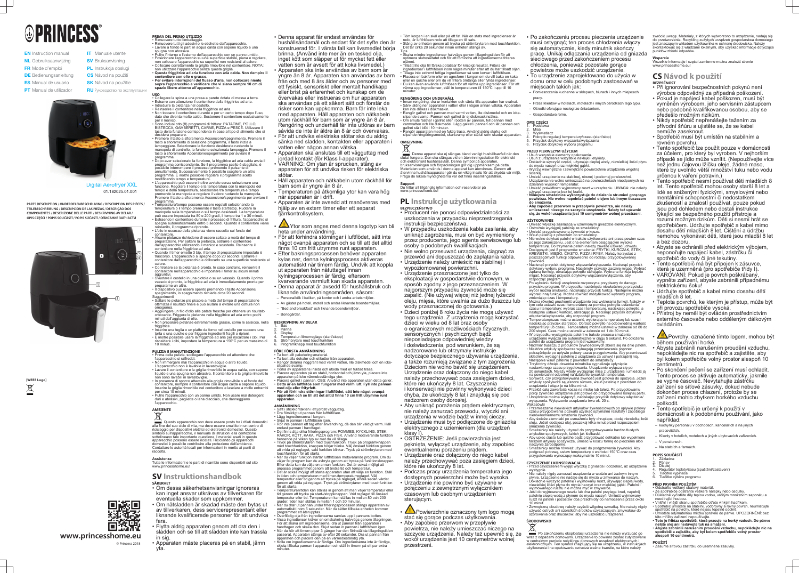# **OPRINCESS**

- **EN** Instruction manual NL Gebruiksaanwijzing FR Mode d'emploi **DE** Bedienungsanleitung
- **ES** Manual de usuario
- **PT** Manual de utilizador
- **SV** Bruksanvisning
- PL Instrukcja obsługi

**IT** Manuale utente

- **CS** Návod na použití **SK** Návod na použitie
- 
- **RU** Руководство по эксплуатации
- 

Digital Aerofryer XXL Aerofr 01.182025.01.001

**[WEEE Logo]**  $\boxtimes$ 



**PARTS DESCRIPTION / ONDERDELENBESCHRIJVING / DESCRIPTION DES PIÈCES / TEILEBESCHREIBUNG / DESCRIPCIÓN DE LAS PIEZAS / DESCRIÇÃO DOS COMPONENTES / DESCRIZIONE DELLE PARTI / BESKRIVNING AV DELAR / OPIS CZĘŚCI / POPIS SOUČÁSTÍ / POPIS SÚČASTÍ / ОПИСАНИЕ ЗАПЧАСТИ**

**www.princesshome.eu**

© Princess 2018

回游<br>数数

#### **PRIMA DEL PRIMO UTILIZZO** • Rimuovere tutto l'imballaggio.

- Rimuovere tutti gli adesivi o le etichette dall'apparecchio. • Lavare a fondo le parti in acqua calda con sapone liquido e una spugna non abrasiva.
- Pulire l'interno e l'esterno dell'apparecchio con un panno umido. • Posizionare l'apparecchio su una superficie stabile, piana e regolare, non collocare l'apparecchio su superfici non resistenti al calore.
- Collocare correttamente la griglia rimovibile nel contenitore. NOTA: non utilizzare l'apparecchio senza questa griglia.
- **Questa friggitrice ad aria funziona con aria calda. Non riempire il contenitore con olio o grasso.**
- **Per evitare interruzioni del flusso d'aria, non collocare niente sopra l'apparecchio e verificare che vi siano sempre 10 cm di spazio libero attorno all'apparecchio.**
- **USO** Collegare la spina a una presa a parete dotata di messa a terra. • Estrarre con attenzione il contenitore dalla friggitrice ad aria.
- Introdurre la pietanza nel cestello. • Reinserire il contenitore nella friggitrice ad aria.
- Non toccare il contenitore durante e per un certo tempo dopo l'uso, dato che diventa molto caldo. Sostenere il contenitore esclusivamente per il manico. • Sono inclusi otto (8) programmi di frittura: PATATINE, POLLO, BISTECCA, GAMBERETTI, CARNE, PIZZA e PESCE. Utilizzare il
- tasto della funzione corrispondente in base al tipo di alimento che si desidera preparare. • Premere il tasto a sfioramento Accensione/spegnimento. Premere il tasto a sfioramento di selezione programma, il tasto inizia a
- lampeggiare. Selezionare la funzione desiderata ruotando la manopola di controllo, la funzione selezionata lampeggia. Premere il tasto a sfioramento Accensione/spegnimento per avviare il programma.
- Dopo aver selezionato la funzione, la friggitrice ad aria calda avvia il programma corrispondente. Se il programma scelto è sbagliato, è possibile interrompere il processo premendo il pulsante di annullamento. Successivamente è possibile scegliere un altro programma. È inoltre possibile regolare il programma scelto modificando tempo e temperatura.
- L'apparecchio può essere inoltre avviato senza selezionare una funzione. Regolare il tempo e la temperatura con la manopola del tempo e della temperatura, selezionare tra temperatura e tempo premendo la manopola e regolare il valore ruotando la manopola. Premere il tasto a sfioramento Accensione/spegnimento per avviare il programma.
- Temperatura/tempo possono essere regolati selezionando la temperatura o il tempo premendo il tasto start/stop. Ruotare la manopola sulla temperatura o sul tempo desiderati. La temperatura
- può essere impostata tra 80 e 200 gradi, il tempo tra 1 e 30 minuti. Estraendo il contenitore durante il processo di frittura, l'apparecchio si spegne automaticamente entro 5 secondi. Quando il contenitore viene
- reinserito, il programma riprende. • L'olio in eccesso della pietanza viene raccolto sul fondo del contenitore.
- Alcune pietanze richiedono di essere saltate a metà del tempo di preparazione. Per saltare la pietanza, estrarre il contenitore dall'apparecchio utilizzando il manico e scuoterlo. Reinserire il contenitore nella friggitrice ad aria.
- Quando il timer emette 3 bip, il tempo di preparazione impostato è trascorso. L'apparecchio si spegne dopo 20 secondi. Estrarre il contenitore dall'apparecchio e collocarlo su una superficie resistente al calore.
- Controllare se la pietanza è pronta. In caso contrario, reinserire il contenitore nell'apparecchio e impostare il timer su alcuni minuti aggiuntivi.
- Svuotare il cestello in una ciotola o su un vassoio. Quando il primo vassoio è pronto, la friggitrice ad aria è immediatamente pronta per prepararne un altro.
- Il dispositivo può essere spento premendo il tasto Accensione/ spegnimento, lo spegnimento richiede circa 20 secondi. Suggerimenti
- Saltare le pietanze più piccole a metà del tempo di preparazione ottimizza il risultato finale e può aiutare a evitare una cottura non omogenea.
- Aggiungere un filo d'olio alle patate fresche per ottenere un risultato croccante. Friggere le pietanze nella friggitrice ad aria entro pochi minuti dall'aggiunta di olio. • Non preparare pietanze estremamente grasse, come le salsicce, nella
- friggitrice. Inserire una teglia o un piatto da forno nel cestello per cuocere una
- torta o una quiche o per friggere ingredienti fragili o ripieni. • È inoltre possibile usare la friggitrice ad aria per riscaldare i cibi. Per riscaldare i cibi, impostare la temperatura a 150°C per un massimo di 10 minuti.

Ytor som anges med denna logotyp kan bli heta under användning.

- 1. Bas
- 2. Panna **Display**
- 4. Temperatur-/timerreglage (start/stopp) 5. Strömbrytare med touchfunktion
- Programknapp med touchfunktion

#### **PULIZIA E MANUTENZIONE**

- Prima della pulizia, scollegare l'apparecchio ed attendere che l'apparecchio si raffreddi.
- Non immergere mai l'apparecchio in acqua o altro liquido.
- L'apparecchio non è lavabile in lavastoviglie. Lavare il contenitore e la griglia rimovibile in acqua calda, con sapone liquido e una spugna non abrasiva. Il contenitore e la griglia rimovibile
- non sono lavabili in lavastoviglie. • In presenza di sporco attaccato alla griglia rimovibile o al fondo del contenitore, riempire il contenitore con acqua calda e sapone liquido. Inserire la griglia rimovibile nel contenitore e lasciare a molle entrambi per circa 10 minuti.
- Pulire l'apparecchio con un panno umido. Non usare mai detergenti duri e abrasivi, pagliette o lana d'acciaio, che danneggiano l'apparecchio.

### **AMBIENTE**

#### ₩

Questo apparecchio non deve essere posto tra i rifiuti domestici alla fine del suo ciclo di vita, ma deve essere smaltito in un centro di riciclaggio per dispositivi elettrici ed elettronici domestici. Questo simbolo sull'apparecchio, il manuale di istruzioni e la confezione sottolineano tale importante questione. I materiali usati in questo apparecchio possono essere riciclati. Riciclando gli apparecchi domestici è possibile contribuire alla protezione dell'ambiente. Contattare le autorità locali per informazioni in merito ai punti di raccolta.

#### **Assistenza**

Tutte le informazioni e le parti di ricambio sono disponibili sul sito www.princesshome.eu!

#### **SV Instruktionshandbok SÄKERHET**

- Om dessa säkerhetsanvisningar ignoreras kan inget ansvar utkrävas av tillverkaren för eventuella skador som uppkommer.
- Om nätsladden är skadad måste den bytas ut av tillverkaren, dess servicerepresentant eller liknande kvalificerade personer för att undvika fara.
- Flytta aldrig apparaten genom att dra den i sladden och se till att sladden inte kan trassla in sig.
- Apparaten måste placeras på en stabil, jämn yta.

Denna apparat ska ej slängas bland vanligt hushållsavfall när den slutat fungera. Den ska slängas vid en återvinningsstation för elektriskt och elektroniskt hushållsavfall. Denna symbol på apparaten, bruksanvisningen och förpackningen gör dig uppmärksam på detta.

- Materialen som används i denna apparat kan återvinnas. Genom att återvinna hushållsapparater gör du en viktig insats för att skydda vår miljö. Fråga de lokala myndigheterna var det finns insamlingsställen
- **Support** Du hittar all tillgänglig information och reservdelar på www.princesshome.eu
- Denna apparat får endast användas för hushållsändamål och endast för det syfte den är konstruerad för. I värsta fall kan livsmedlet börja brinna. (Använd inte mer än en tesked olja, inget kött som släpper ut för mycket fett eller vatten som är avsett för att koka livsmedel.)
- Apparaten ska inte användas av barn som är yngre än 8 år. Apparaten kan användas av barn från och med 8 års ålder och av personer med ett fysiskt, sensoriskt eller mentalt handikapp eller brist på erfarenhet och kunskap om de övervakas eller instrueras om hur apparaten ska användas på ett säkert sätt och förstår de risker som kan uppkomma. Barn får inte leka med apparaten. Håll apparaten och nätkabeln utom räckhåll för barn som är yngre än 8 år. Rengöring och underhåll får inte utföras av barn såvida de inte är äldre än 8 år och övervakas.
- För att undvika elektriska stötar ska du aldrig sänka ned sladden, kontakten eller apparaten i vatten eller någon annan vätska.
- Apparaten ska anslutas till ett vägguttag med jordad kontakt (för Klass I-apparater).
- VARNING: Om ytan är sprucken, stäng av apparaten för att undvika risken för elektriska stötar.
- Håll apparaten och nätkabeln utom räckhåll för barn som är yngre än 8 år.
- Temperaturen på åtkomliga ytor kan vara hög när apparaten är i drift.
- Apparaten är inte avsedd att manövreras med hjälp av en extern timer eller ett separat fjärrkontrollsystem.

Powierzchnie oznaczony tym logo mogą stać się gorące podczas użytkowania. • Aby zapobiec przerwom w przepływie powietrza, nie należy umieszczać niczego na szczycie urządzenia. Należy też upewnić się, że wokół urządzenia jest 10 centymetrów wolnej przestrzeni.

#### **OPIS CZĘŚCI Podstawa**

#### Misa

- Wyświetlacz Pokretło regulacji temperatury/czasu (start/stop) 5. Przycisk dotykowy włączania/wyłączania
- 6. Przycisk dotykowy wyboru programu

- För att förhindra störningar i luftflödet, sätt inte något ovanpå apparaten och se till att det alltid finns 10 cm fritt utrymme runt apparaten.
- Efter bakningsprocessen behöver apparaten kylas ner, denna kylningsprocess aktiveras automatiskt när timern färdig. Undvik att koppla
- ut apparaten från nätuttaget innan kylningsprocessen är färdig, eftersom kvarvarande varmluft kan skada apparaten.
- Denna apparat är avsedd för hushållsbruk och
- liknande användningsområden, såsom: – Personalkök i butiker, på kontor och i andra arbetsmiljöer.
- Av gäster på hotell, motell och andra liknande boendemiljöer.
- "Bed and breakfast" och liknande boendemiljöer. – Bondgårdar.

## **BESKRIVNING AV DELAR**

#### **FÖRE FÖRSTA ANVÄNDNING** • Ta bort allt paketeringsmaterial.

- Ta bort alla dekaler och etiketter från apparaten. • Rengör delarna noggrant med varmt vatten, lite diskmedel och en ickeslipande svamp.
- Torka av apparatens insida och utsida med en fuktad trasa. Placera apparaten på en stabil, horisontal och jämn yta, placera inte apparaten på icke värmebeständiga ytor.
- Placera gallret i pannan. OBS: Använd inte apparaten utan detta galler. • **Detta är en luftfritös som fungerar med varm luft. Fyll inte pannan**
- **med olja eller frityrfett.** • **För att förhindra störningar i luftflödet, sätt inte något ovanpå**
- **apparaten och se till att det alltid finns 10 cm fritt utrymme runt apparaten.**

### **ANVÄNDNING**

- Sätt i stickkontakten i ett jordat vägguttag. ra försiktigt ut pannan från i
- Lägg ingredienserna i korgen.
- Skjut in pannan i luftfritösen igen. • Rör inte pannan ett tag efter användning, då den blir väldigt varm. Håll endast pannan i handtaget.
- Det finns åtta olika friteringsprogram: POMMES, KYCKLING, STEK, RÄKOR, KÖTT, KAKA, PIZZA och FISK. Använd motsvarande funktion
- beroende på vilken typ av mat du vill tillaga. • Tryck på strömbrytaren med touchfunktion. Tryck på programknappen med touchfunktion, knappen börjar blinka. Välj önskad funktion genom att vrida på reglaget, vald funktion blinkar. Tryck på strömbrytaren med touchfunktion för att starta.
- När du väljer funktion startar luftfritösen motsvarande program. Om du väljer fel program kan du avbryta genom att trycka på funktionsknappen. Efter detta kan du välja en annan funktion. Det är också möjligt att anpassa programmet genom att ändra tid och temperatur.
- Det är också möjligt att starta apparaten utan att välja en funktion. Ställ in tiden och temperaturen med timer-/temperaturreglaget. Välj temperatur eller tid genom att trycka på reglaget, ändra sedan värdet genom att vrida på reglaget. Tryck på strömbrytaren med touchfunktion för att starta.
- Temperaturen/tiden kan ställas in genom att man väljer temperatur eller tid genom att trycka på start-/stoppknappen. Vrid reglaget till önskad temperatur eller tid. Temperaturen kan ställas in mellan 80 och 200 grader, tiden kan ställas in mellan 1 och 30 minuter.
- När du drar ut pannan under friteringsprocessen stängs apparaten av automatiskt inom 5 sekunder. När du sätter tillbaka enheten kommer programmet att återupptas.
- Överflödig olja från ingredienserna samlas upp i pannans botten. • Vissa ingredienser kräver en omskakning halvvägs genom tillagningen. För att skaka om ingredienserna, dra ut pannan från apparaten i handtagen och skaka den. Skjut sedan in pannan i luftfritösen igen. • När du hör att timern piper 3 gånger har den förinställda tillagningstiden
- passerat. Apparaten stängs av efter 20 sekunder. Dra ut pannan från apparaten och placera den på en värmebeständig yta. • Kolla om ingredienserna är färdiga. Om ingredienserna inte är färdiga, skjuta tillbaka pannan i apparaten och ställ in timern på ett par extra minuter.
- 



**Po zakończeniu eksploatacji urządzenia nie należy wyrzucać go** wraz z odpadami domowymi. Urządzenie to powinno zostać zutylizowane w centralnym punkcie recyklingu domowych urządzeń elektrycznych i elektronicznych. Ten symbol znajdujący się na urządzeniu, w instrukcjach użytkowania i na opakowaniu oznacza ważne kwestie, na które należy

• Töm korgen i en skål eller på ett fat. När en stats med ingredienser är redo, är luftfritösen redo att tillaga en till sats. • Stäng av enheten genom att trycka på strömbrytaren med touchfunktion. Det tar cirka 20 sekunder innan enheten stängs av.

Tips

• Skaka mindre ingredienser halvvägs genom tillagningstiden för att optimera slutresultatet och för att förhindra att ingredienserna friteras ojämnt.

• Tillsätt lite olja till färska potatisar för krispigt resultat. Fritera din ingredienser i luftfritösen inom några minuter efter att du har tillsatt oljan. • Tillaga inte extremt fettiga ingredienser så som korvar i luftfritösen. • Placera en bakform eller en ugnsform i korgen om du vill baka en kaka eller en quiche eller om du vill fritera ömtåliga eller fyllda ingredienser. • Du kan även använda luftfritösen för att värma upp ingredienser. För att värma upp ingredienser, ställ in temperaturen till 150°C i upp till 10 minuter.

- **Základna** Pánev
- 3. Displej 4. Regulátor teploty/času (spuštění/zastavení)

#### **RENGÖRING OCH UNDERHÅLL**

• Innan rengöring, dra ur kontakten och vänta tills apparaten har svalnat. • Sänk aldrig ner apparaten i vatten eller i någon annan vätska. Apparaten kan inte diskas i diskmaskin. • Rengör gallret och pannan med varmt vatten, lite diskmedel och en icke-

slipande svamp. Pannan och gallret är ej diskmaskinsäkra. • Om smuts fastnar i gallret eller i botten av pannan, fyll pannan med varmvatten och lite diskmedel. Lägg gallret i pannan och låt pannan och

gallret stå i blöt i 10 minuter. • Rengör apparaten med en fuktig trasa. Använd aldrig starka och slipande rengöringsmedel, skursvamp eller stålull som skadar apparaten.

#### **OMGIVNING**

#### **PL Instrukcje użytkowania BEZPIECZEŃSTWO**

• Producent nie ponosi odpowiedzialności za uszkodzenia w przypadku nieprzestrzegania instrukcji bezpieczeństwa.

• W przypadku uszkodzenia kabla zasilania, aby uniknąć zagrożenia, musi on być wymieniony przez producenta, jego agenta serwisowego lub osoby o podobnych kwalifikacjach.

• Nie wolno przesuwać urządzenia, ciągnąć za przewód ani dopuszczać do zaplątania kabla. • Urządzenie należy umieścić na stabilnej i wypoziomowanej powierzchni.

• Urządzenie przeznaczone jest tylko do eksploatacji w gospodarstwie domowym, w sposób zgodny z jego przeznaczeniem. W najgorszym przypadku żywność może się zapalić. (Nie używaj więcej niż jednej łyżeczki oleju, mięsa, które uwalnia za dużo tłuszczu lub wody przeznaczonej do gotowania.)

• Dzieci poniżej 8 roku życia nie mogą używać tego urządzenia. Z urządzenia mogą korzystać dzieci w wieku od 8 lat oraz osoby

o ograniczonych możliwościach fizycznych, sensorycznych i psychicznych bądź nieposiadające odpowiedniej wiedzy

i doświadczenia, pod warunkiem, że są nadzorowane lub otrzymały instrukcje dotyczące bezpiecznego używania urządzenia,

a także rozumieją związane z tym zagrożenia. Dzieciom nie wolno bawić się urządzeniem. Urządzenie oraz dołączony do niego kabel należy przechowywać poza zasięgiem dzieci, które nie ukończyły 8 lat. Czyszczenia i konserwacji nie powinny wykonywać dzieci chyba, że ukończyły 8 lat i znajdują się pod

nadzorem osoby dorosłej. • Aby uniknąć porażenia prądem elektrycznym, nie należy zanurzać przewodu, wtyczki ani urządzenia w wodzie bądź w innej cieczy. • Urządzenie musi być podłączone do gniazdka elektrycznego z uziemieniem (dla urządzeń

klasy I). • OSTRZEŻENIE: Jeśli powierzchnia jest pęknięta, wyłączyć urządzenie, aby zapobiec ewentualnemu porażeniu prądem.

• Urządzenie oraz dołączony do niego kabel należy przechowywać poza zasięgiem dzieci, które nie ukończyły 8 lat.

• Podczas pracy urządzenia temperatura jego dostępnych powierzchni może być wysoka. • Urządzenie nie powinno być używane w połączeniu z zewnętrznym wyłącznikiem czasowym lub osobnym urządzeniem sterującym.

- Po zakończeniu procesu pieczenia urządzenie musi ostygnąć; ten proces chłodzenia włączy się automatycznie, kiedy minutnik skończy pracę. Unikaj odłączania urządzenia od gniazda sieciowego przed zakończeniem procesu chłodzenia, ponieważ pozostałe gorące powietrze może uszkodzić urządzenie.
- To urządzenie zaprojektowano do użycia w domu oraz w celu podobnych zastosowań w miejscach takich jak:
- Pomieszczenia kuchenne w sklepach, biurach i innych miejscach pracy.
- Przez klientów w hotelach, motelach i innych ośrodkach tego typu.
- Ośrodki oferujące noclegi ze śniadaniem.
- Gospodarstwa rolne.

#### **PRZED PIERWSZYM UŻYCIEM**

- Usuń wszystkie elementy opakowania. • Usuń z urządzenia wszystkie naklejki i etykiety.
- Dokładnie wyczyść części, używając ciepłej wody, niewielkiej ilości płynu do mycia naczyń oraz miękkiej gąbki.
- Wytrzyj wewnętrzne i zewnętrzne powierzchnie urządzenia wilgotną ścierką. • Umieść urządzenie na stabilnej, równej i poziomej powierzchni.
- Urządzenia nie wolno umieszczać na powierzchniach nieodpornych na działanie wysokich temperatur.
- Umieść prawidłowo wyjmowany ruszt w urządzeniu. UWAGA: nie należy używać urządzenia bez tej kratki.
- **Niniejsza smażalnica wykorzystuje do działania strumień gorącego powietrza. Nie wolno napełniać patelni olejem lub innym tłuszczem do smażenia.**
- **Aby zapobiec przerwom w przepływie powietrza, nie należy umieszczać niczego na szczycie urządzenia. Należy też upewnić się, że wokół urządzenia jest 10 centymetrów wolnej przestrzeni.**

#### **UŻYTKOWANIE**

- Umieść wtyczkę zasilającą w uziemionym gnieździe elektrycznym.
- Ostrożnie wyciągnij patelnię ze smażalnicy. Umieść przygotowywaną żywność w koszu.
- Wsuń patelnię z powrotem do smażalnicy.
- Nie wolno dotykać patelni w trakcie użytkowania ani przez pewien czas po jego zakończeniu. Jest ona elementem osiągającym wysoka temperaturę. Do trzymania patelni należy zawsze używać uchwytu. • Dostępnych jest 8 programów smażenia: FRYTKI, KURCZAK, STEK, KREWETKI, MIĘSO, CIASTO, PIZZA i RYBY. Należy korzystać z poszczególnych funkcji odpowiednio do rodzaju przygotowywanej żywności.
- Nacisnąć przycisk dotykowy włączania/wyłączania. Nacisnąć przycisk dotykowy wyboru programu. Naciśnięty przycisk zacznie migać. Wybrać żądaną funkcję, obracając pokrętło sterujące. Wybrana funkcja będzie migać. Nacisnąć przycisk dotykowy włączania/wyłączania, aby rozpocząć program.
- Po wybraniu funkcji urządzenie rozpoczyna przypisany do danego przycisku program. W przypadku naciśnięcia niewłaściwego przycisku wybór można anulować, naciskając przycisk funkcji. Następnie można wybrać inną funkcję. Można również modyfikować wybrany program, zmieniając czas i temperaturę.
- Można również uruchomić urządzenie bez wybierania funkcji. Należy w tym celu ustawić czas i temperaturę za pomocą pokrętła ustawiania czasu i temperatury: wybrać czas i temperaturę, naciskając pokrętło, a następnie ustawić wartość, obracając je. Nacisnąć przycisk dotykowy włączania/wyłączania, aby rozpocząć program.
- Temperaturę/czas można ustawić, wybierając temperaturę lub czas i naciskając przycisk start/stop. Obrócić pokrętło na odpowiednią wartość temperatury lub czasu. Temperaturę można ustawić w zakresie od 80 do 200 stopni. Czas można ustawić w zakresie od 1 do 30 minut. • W przypadku wyciągnięcia patelni w trakcie procesu smażenia
- urządzenie wyłącza się automatycznie w ciągu 5 sekund. Po odłożeniu patelni do urządzenia program jest wznawiany. • Nadmiar tłuszczu z produktów żywnościowych zbiera się na dnie patelni.
- Niektóre artykuły spożywcze wymagają przemieszania poprzez potrząśnięcie po upływie połowy czasu przygotowania. Aby przemieszać składniki, wyciągnij patelnię z urządzenia za uchwyt i potrząśnij nią.
- Następnie wsuń patelnię z powrotem do smażalnicy. • Trzykrotny dźwięk dzwonka minutnika sygnalizuje upłynięcie nastawionego czasu przygotowania. Urządzenie wyłącza się po
- 20 sekundach. Należy wtedy wyciągnąć misę z urządzenia i umieścić ją na powierzchni odpornej na działanie wysokich temperatur. • Sprawdź, czy przygotowywana żywność jest gotowa do spożycia. Jeżeli artykuły spożywcze są jeszcze surowe, wsuń patelnię z powrotem do
- urządzenia i włącz je na klika minut. • Przełóż całą zawartość kosza na miskę lub talerz. Po przygotowaniu porcji żywności urządzenie jest gotowe do przygotowania kolejnej partii.
- Urządzenie można wyłączyć, naciskając przycisk dotykowy włączenia/ wyłączenia. Wyłączenie urządzenia trwa ok. 20 s. Wskazówki
- Przemieszanie niewielkich artykułów żywnościowych po upływie połowy czasu przygotowania pozwala uzyskać optymalne rezultaty nierównomiernemu smażeniu żywności.
- Aby świeże ziemniaki po usmażeniu były chrupiące, dodaj niewielką ilość oleju. Jeżeli dodajesz olej, poczekaj kilka minut przed rozpoczęciem smażenia żywności.
- Smażalnicy nie należy używać do przygotowywania bardzo tłustych artykułów spożywczych, takich jak kiełbaski. • Aby upiec ciasto lub quiche bądź przygotować delikatne lub wypełnione
- farszem artykuły spożywcze, umieść w koszu formę do pieczenia albo naczynie żaroodporne. • Smażalnicy można również używać do podgrzewania żywności. Aby
- podgrzać potrawę, ustaw temperaturę o wartości 150°C oraz czas przygotowania wynoszący maksymalnie 10 minut.

#### **CZYSZCZENIE I KONSERWACJA**

- Przed czyszczeniem wyjąć wtyczkę z gniazda i odczekać, aż urządzenie wystygnie
- Nie należy nigdy zanurzać urządzenia w wodzie ani żadnym innym płynie. Urządzenie nie nadaje się do mycia w zmywarce do naczyń. • Dokładnie wyczyść patelnię i wyjmowany ruszt, używając ciepłej wody,
- niewielkiej ilości płynu do mycia naczyń oraz miękkiej gąbki. Patelni i
- wyjmowanego rusztu nie można myć w zmywarce. Jeśli do wyjmowanego rusztu lub dna patelni przylega brud, napełnij patelnię ciepłą wodą z płynem do mycia naczyń. Umieść wyjmowany ruszt na patelni i pozostaw oba przedmioty do namoczenia przez około 10 minut.
- Zewnętrzną obudowę należy czyścić wilgotną szmatką. Nie należy nigdy używać ostrych ani szorstkich środków czyszczących, zmywaków do szorowania oraz druciaków, aby nie uszkodzić urządzenia.

#### **ŚRODOWISKO**

#### $\widehat{\boxtimes}$

zwrócić uwagę. Materiały, z których wytworzono to urządzenie, nadają się do przetworzenia. Recykling zużytych urządzeń gospodarstwa domowego jest znaczącym wkładem użytkownika w ochronę środowiska. Należy skontaktować się z władzami lokalnymi, aby uzyskać informacje dotyczące punktów zbiórki odpadów.

**Wsparcie** Wszelkie informacje i części zamienne można znaleźć stronie www.princesshome.eu!

### **CS Návod k použití**

#### **BEZPEČNOST**

- Při ignorování bezpečnostních pokynů není výrobce odpovědný za případná poškození.
- Pokud je napájecí kabel poškozen, musí být vyměněn výrobcem, jeho servisním zástupcem nebo podobně kvalifikovanou osobou, aby se předešlo možným rizikům.
- Nikdy spotřebič nepřenášejte tažením za přívodní šňůru a ujistěte se, že se kabel nemůže zaseknout.
- Spotřebič musí být umístěn na stabilním a rovném povrchu.
- Tento spotřebič lze použít pouze v domácnosti za účelem, pro který byl vyroben. V nejhorším případě se jídlo může vznítit. (Nepoužívejte více než jednu čajovou lžičku oleje, žádné maso, které by uvolnilo větší množství tuku nebo vodu určenou k vaření potravin.)
- Tento spotřebič nesmí používat děti mladších 8 let. Tento spotřebič mohou osoby starší 8 let a lidé se sníženými fyzickými, smyslovými nebo mentálními schopnostmi či nedostatkem zkušeností a znalostí používat, pouze pokud jsou pod dohledem nebo dostali instrukce týkající se bezpečného použití přístroje a rozumí možným rizikům. Děti si nesmí hrát se spotřebičem. Udržujte spotřebič a kabel mimo dosahu dětí mladších 8 let. Čištění a údržbu nemohou vykonávat děti, které jsou mladší 8 let a bez dozoru.
- Abyste se ochránili před elektrickým výbojem, neponořujte napájecí kabel, zástrčku či spotřebič do vody či jiné tekutiny.
- Tento spotřebič má být připojen k zásuvce,
- která je uzemněná (pro spotřebiče třídy I). • VAROVÁNÍ: Pokud je povrch poškrábaný,
- vypněte zařízení, abyste zabránili případnému elektrickému šoku!
- Udržujte spotřebič a kabel mimo dosahu dětí mladších 8 let.
- Teplota povrchů, ke kterým je přístup, může být při provozu spotřebiče vysoká.
- Přístroj by neměl být ovládán prostřednictvím externího časovače nebo odděleným dálkovým ovládáním.
- ∠≝Neovrchy, označené tímto logem, mohou být během používání horké.
- Abyste zabránili narušením proudění vzduchu, nepokládejte nic na spotřebič a zajistěte, aby byl kolem spotřebiče volný prostor alespoň 10 centimetrů.
- Po skončení pečení se zařízení musí ochladit. Tento proces se aktivuje automaticky, jakmile se vypne časovač. Nevytahujte zástrčku zařízení se síťové zásuvky, dokud nebude dokončen proces chlazení, protože by se zařízení mohlo zbytkem horkého vzduchu poškodit.
- Tento spotřebič je určený k použití v domácnosti a k podobnému používání, jako například:
- kuchyňky personálu v obchodech, kancelářích a na jiných pracovištích.
- Klienty v hotelích, motelech a jiných ubytovacích zařízeních. – V penzionech.
- Na statcích a farmách.

#### **POPIS SOUČÁSTÍ**

5. Tlačítko vypínače 6. Tlačítko výběru programu

**PŘED PRVNÍM POUŽITÍM**

• Odstraňte veškerý obalový materiál.

• Ze spotřebiče odstraňte veškeré nálepky nebo cedulky.

• Důkladně vyčistěte díly teplou vodou, určitým množstvím saponátu a

neodírající houbou.

• Vnitřní i vnější stranu spotřebiče otřete vlhkým hadříkem.

• Spotřebič umístěte na stabilní, vodorovný a rovný povrch, neumisťujte

spotřebič na povrchy, které nejsou tepelně odolné.

• Umístěte odjímatelnou mřížku správně do pánve. UPOZORNĚNÍ: bez

této mřížky zařízení nepoužívejte.

• **Toto je fritéza spotřebič, která pracuje na horký vzduch. Do pánve**

**nelijte olej ani nedávejte tuk na smažení.**

• **Abyste zabránili narušením proudění vzduchu, nepokládejte nic na spotřebič a zajistěte, aby byl kolem spotřebiče volný prostor**

**alespoň 10 centimetrů.**

**POUŽITÍ**

• Zasuňte síťovou zástrčku do uzemněné zásuvky.